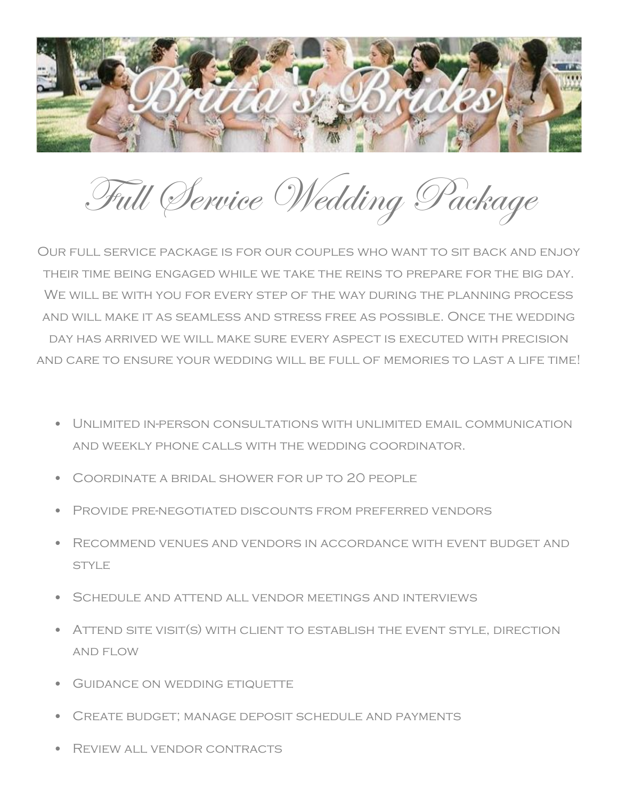

Full Service Wedding Package

Our full service package is for our couples who want to sit back and enjoy their time being engaged while we take the reins to prepare for the big day. WE WILL BE WITH YOU FOR EVERY STEP OF THE WAY DURING THE PLANNING PROCESS and will make it as seamless and stress free as possible. Once the wedding day has arrived we will make sure every aspect is executed with precision and care to ensure your wedding will be full of memories to last a life time!

- Unlimited in-person consultations with unlimited email communication and weekly phone calls with the wedding coordinator.
- Coordinate a bridal shower for up to 20 people
- Provide pre-negotiated discounts from preferred vendors
- Recommend venues and vendors in accordance with event budget and STYLE
- SCHEDULE AND ATTEND ALL VENDOR MEETINGS AND INTERVIEWS
- Attend site visit(s) with client to establish the event style, direction and flow
- GUIDANCE ON WEDDING ETIQUETTE
- Create budget; manage deposit schedule and payments
- Review all vendor contracts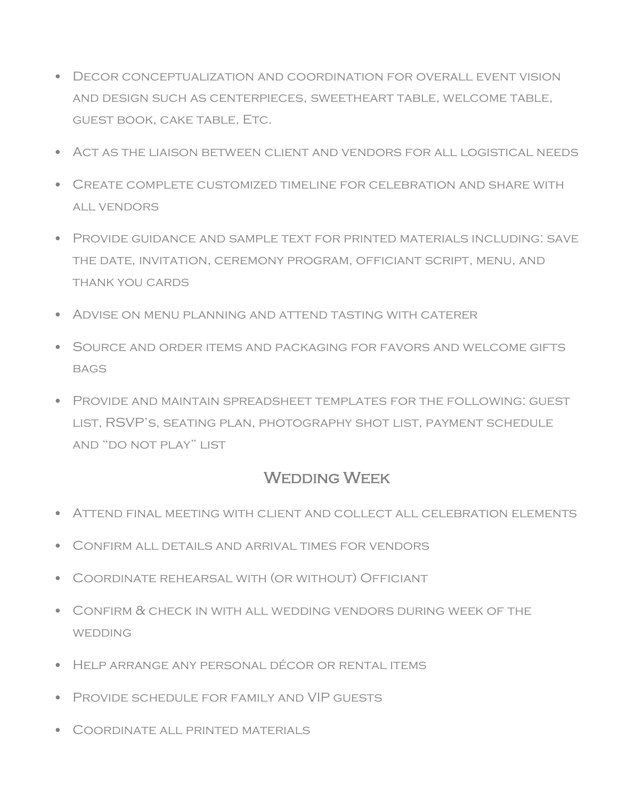- Decor conceptualization and coordination for overall event vision and design such as centerpieces, sweetheart table, welcome table, guest book, cake table, Etc.
- Act as the liaison between client and vendors for all logistical needs
- Create complete customized timeline for celebration and share with all vendors
- Provide guidance and sample text for printed materials including: save the date, invitation, ceremony program, officiant script, menu, and thank you cards
- Advise on menu planning and attend tasting with caterer
- Source and order items and packaging for favors and welcome gifts **BAGS**
- Provide and maintain spreadsheet templates for the following: guest list, RSVP's, seating plan, photography shot list, payment schedule and "do not play" list

## WEDDING WEEK

- Attend final meeting with client and collect all celebration elements
- Confirm all details and arrival times for vendors
- Coordinate rehearsal with (or without) Officiant
- Confirm & check in with all wedding vendors during week of the **WEDDING**
- Help arrange any personal décor or rental items
- Provide schedule for family and VIP guests
- Coordinate all printed materials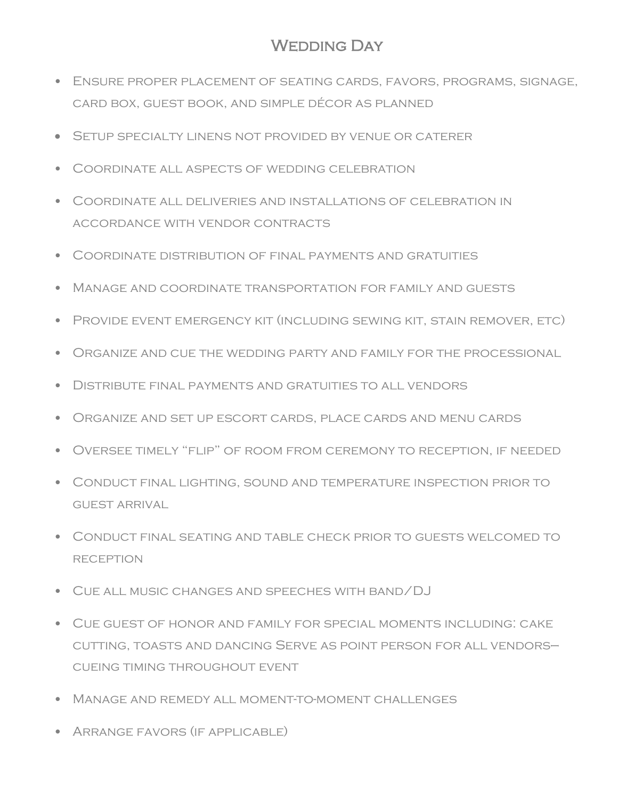## WEDDING DAY

- Ensure proper placement of seating cards, favors, programs, signage, card box, guest book, and simple décor as planned
- Setup specialty linens not provided by venue or caterer
- Coordinate all aspects of wedding celebration
- Coordinate all deliveries and installations of celebration in accordance with vendor contracts
- Coordinate distribution of final payments and gratuities
- Manage and coordinate transportation for family and guests
- Provide event emergency kit (including sewing kit, stain remover, etc)
- Organize and cue the wedding party and family for the processional
- Distribute final payments and gratuities to all vendors
- Organize and set up escort cards, place cards and menu cards
- Oversee timely "flip" of room from ceremony to reception, if needed
- Conduct final lighting, sound and temperature inspection prior to guest arrival
- Conduct final seating and table check prior to guests welcomed to **RECEPTION**
- Cue all music changes and speeches with band/DJ
- Cue guest of honor and family for special moments including: cake cutting, toasts and dancing Serve as point person for all vendors cueing timing throughout event
- Manage and remedy all moment-to-moment challenges
- Arrange favors (if applicable)